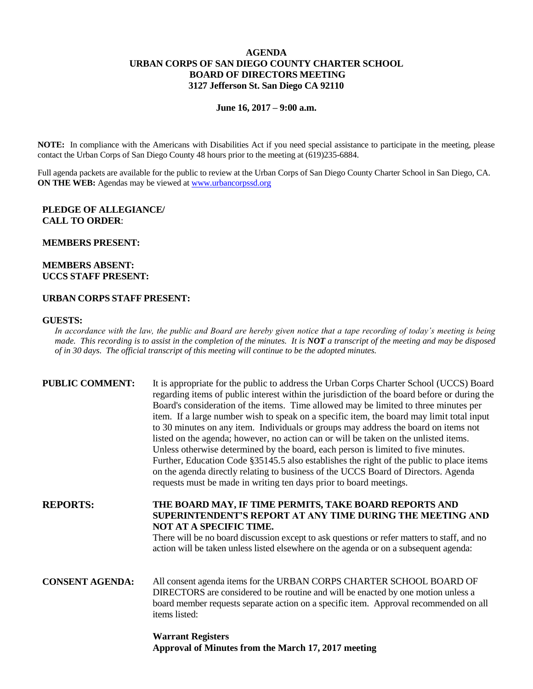## **AGENDA URBAN CORPS OF SAN DIEGO COUNTY CHARTER SCHOOL BOARD OF DIRECTORS MEETING 3127 Jefferson St. San Diego CA 92110**

**June 16, 2017 – 9:00 a.m.**

**NOTE:** In compliance with the Americans with Disabilities Act if you need special assistance to participate in the meeting, please contact the Urban Corps of San Diego County 48 hours prior to the meeting at (619)235-6884.

Full agenda packets are available for the public to review at the Urban Corps of San Diego County Charter School in San Diego, CA. **ON THE WEB:** Agendas may be viewed at [www.urbancorpssd.org](http://www.urbancorpssd.org/)

#### **PLEDGE OF ALLEGIANCE/ CALL TO ORDER**:

#### **MEMBERS PRESENT:**

## **MEMBERS ABSENT: UCCS STAFF PRESENT:**

# **URBAN CORPS STAFF PRESENT:**

#### **GUESTS:**

*In accordance with the law, the public and Board are hereby given notice that a tape recording of today's meeting is being made. This recording is to assist in the completion of the minutes. It is NOT a transcript of the meeting and may be disposed of in 30 days. The official transcript of this meeting will continue to be the adopted minutes.*

| <b>PUBLIC COMMENT:</b> | It is appropriate for the public to address the Urban Corps Charter School (UCCS) Board<br>regarding items of public interest within the jurisdiction of the board before or during the<br>Board's consideration of the items. Time allowed may be limited to three minutes per<br>item. If a large number wish to speak on a specific item, the board may limit total input<br>to 30 minutes on any item. Individuals or groups may address the board on items not<br>listed on the agenda; however, no action can or will be taken on the unlisted items.<br>Unless otherwise determined by the board, each person is limited to five minutes.<br>Further, Education Code §35145.5 also establishes the right of the public to place items<br>on the agenda directly relating to business of the UCCS Board of Directors. Agenda<br>requests must be made in writing ten days prior to board meetings. |
|------------------------|----------------------------------------------------------------------------------------------------------------------------------------------------------------------------------------------------------------------------------------------------------------------------------------------------------------------------------------------------------------------------------------------------------------------------------------------------------------------------------------------------------------------------------------------------------------------------------------------------------------------------------------------------------------------------------------------------------------------------------------------------------------------------------------------------------------------------------------------------------------------------------------------------------|
| <b>REPORTS:</b>        | THE BOARD MAY, IF TIME PERMITS, TAKE BOARD REPORTS AND<br>SUPERINTENDENT'S REPORT AT ANY TIME DURING THE MEETING AND<br>NOT AT A SPECIFIC TIME.<br>There will be no board discussion except to ask questions or refer matters to staff, and no<br>action will be taken unless listed elsewhere on the agenda or on a subsequent agenda:                                                                                                                                                                                                                                                                                                                                                                                                                                                                                                                                                                  |
| <b>CONSENT AGENDA:</b> | All consent agenda items for the URBAN CORPS CHARTER SCHOOL BOARD OF<br>DIRECTORS are considered to be routine and will be enacted by one motion unless a<br>board member requests separate action on a specific item. Approval recommended on all<br>items listed:                                                                                                                                                                                                                                                                                                                                                                                                                                                                                                                                                                                                                                      |

**Warrant Registers Approval of Minutes from the March 17, 2017 meeting**